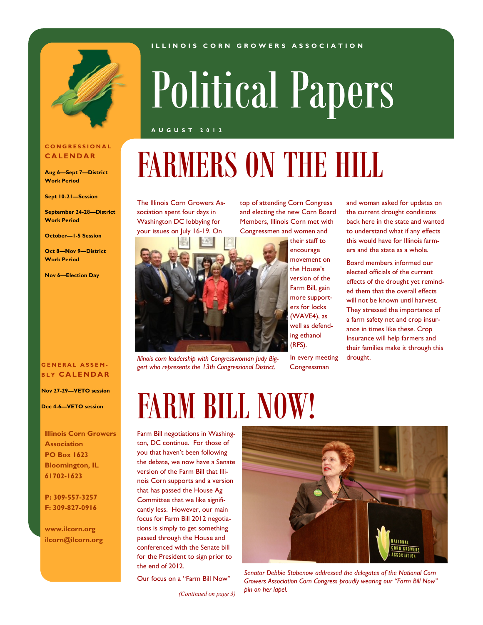

### **C O N G R E S S I O N A L C A L E N D A R**

**Aug 6—Sept 7—District Work Period**

**Sept 10-21—Session**

**September 24-28—District Work Period**

**October—1-5 Session**

**Oct 8—Nov 9—District Work Period**

**Nov 6—Election Day**

### **G E N E R A L A S S E M - B L Y C A L E N D A R**

**Nov 27-29—VETO session**

**Dec 4-6—VETO session**

**Illinois Corn Growers Association PO Box 1623 Bloomington, IL 61702-1623**

**P: 309-557-3257 F: 309-827-0916**

**www.ilcorn.org ilcorn@ilcorn.org**

# Political Papers

**I L L I N O I S C O R N G R O W E R S A S S O C I A T I O N**

#### **A U G U S T 2 0 1 2**

## FARMERS ON THE HILL

The Illinois Corn Growers Association spent four days in Washington DC lobbying for your issues on July 16-19. On



*Illinois corn leadership with Congresswoman Judy Biggert who represents the 13th Congressional District.*

top of attending Corn Congress and electing the new Corn Board Members, Illinois Corn met with Congressmen and women and

> their staff to encourage movement on the House's version of the Farm Bill, gain more supporters for locks (WAVE4), as well as defending ethanol (RFS).

In every meeting Congressman

and woman asked for updates on the current drought conditions back here in the state and wanted to understand what if any effects this would have for Illinois farmers and the state as a whole.

Board members informed our elected officials of the current effects of the drought yet reminded them that the overall effects will not be known until harvest. They stressed the importance of a farm safety net and crop insurance in times like these. Crop Insurance will help farmers and their families make it through this drought.

## FARM BILL NOW!

Farm Bill negotiations in Washington, DC continue. For those of you that haven't been following the debate, we now have a Senate version of the Farm Bill that Illinois Corn supports and a version that has passed the House Ag Committee that we like significantly less. However, our main focus for Farm Bill 2012 negotiations is simply to get something passed through the House and conferenced with the Senate bill for the President to sign prior to the end of 2012.

Our focus on a "Farm Bill Now"

*(Continued on page 3)*



*Senator Debbie Stabenow addressed the delegates of the National Corn Growers Association Corn Congress proudly wearing our "Farm Bill Now" pin on her lapel.*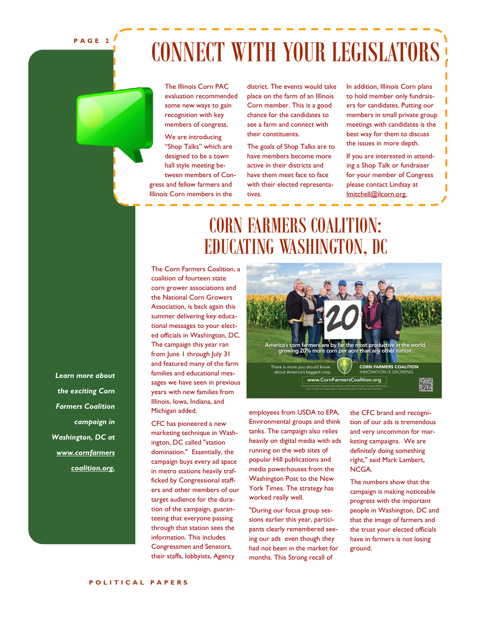**P A G E 2**

## CONNECT WITH YOUR LEGISLATORS

The Illinois Corn PAC evaluation recommended some new ways to gain recognition with key members of congress.

We are introducing "Shop Talks" which are designed to be a town hall style meeting between members of Congress and fellow farmers and Illinois Corn members in the

district. The events would take place on the farm of an Illinois Corn member. This is a good chance for the candidates to see a farm and connect with their constituents.

The goals of Shop Talks are to have members become more active in their districts and have them meet face to face with their elected representatives.

In addition, Illinois Corn plans to hold member only fundraisers for candidates. Putting our members in small private group meetings with candidates is the best way for them to discuss the issues in more depth.

If you are interested in attending a Shop Talk or fundraiser for your member of Congress please contact Lindsay at lmitchell@ilcorn.org.

## CORN FARMERS COALITION: EDUCATING WASHINGTON, DC

The Corn Farmers Coalition, a coalition of fourteen state corn grower associations and the National Corn Growers Association, is back again this summer delivering key educational messages to your elected officials in Washington, DC. The campaign this year ran from June 1 through July 31 and featured many of the farm families and educational messages we have seen in previous years with new families from Illinois, Iowa, Indiana, and Michigan added.

CFC has pioneered a new marketing technique in Washington, DC called "station domination." Essentially, the campaign buys every ad space in metro stations heavily trafficked by Congressional staffers and other members of our target audience for the duration of the campaign, guaranteeing that everyone passing through that station sees the information. This includes Congressmen and Senators, their staffs, lobbyists, Agency



employees from USDA to EPA, Environmental groups and think tanks. The campaign also relies heavily on digital media with ads running on the web sites of popular Hill publications and media powerhouses from the Washington Post to the New York Times. The strategy has worked really well.

"During our focus group sessions earlier this year, participants clearly remembered seeing our ads even though they had not been in the market for months. This Strong recall of

the CFC brand and recognition of our ads is tremendous and very uncommon for marketing campaigns. We are definitely doing something right," said Mark Lambert, NCGA.

The numbers show that the campaign is making noticeable progress with the important people in Washington, DC and that the image of farmers and the trust your elected officials have in farmers is not losing ground.

*Learn more about the exciting Corn Farmers Coalition campaign in Washington, DC at www.cornfarmers coalition.org.*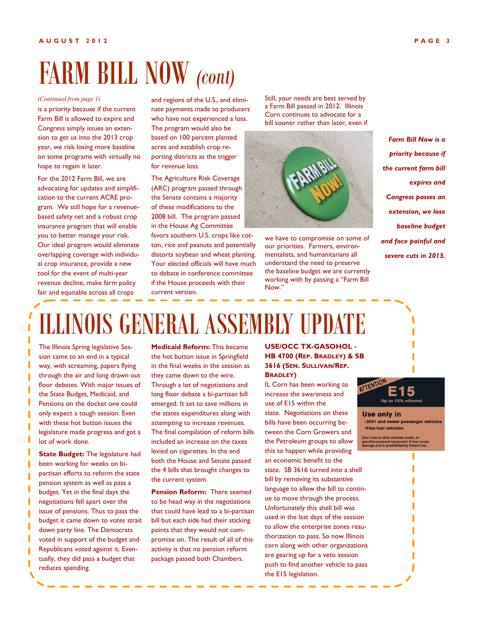## FARM BILL NOW *(cont)*

#### *(Continued from page 1)*

is a priority because if the current Farm Bill is allowed to expire and Congress simply issues an extension to get us into the 2013 crop year, we risk losing more baseline on some programs with virtually no hope to regain it later.

For the 2012 Farm Bill, we are advocating for updates and simplification to the current ACRE program. We still hope for a revenuebased safety net and a robust crop insurance program that will enable you to better manage your risk. Our ideal program would eliminate overlapping coverage with individual crop insurance, provide a new tool for the event of multi-year revenue decline, make farm policy fair and equitable across all crops

and regions of the U.S., and eliminate payments made to producers who have not experienced a loss. The program would also be based on 100 percent planted acres and establish crop reporting districts as the trigger for revenue loss.

The Agriculture Risk Coverage (ARC) program passed through the Senate contains a majority of these modifications to the 2008 bill. The program passed in the House Ag Committee

favors southern U.S. crops like cotton, rice and peanuts and potentially distorts soybean and wheat planting. Your elected officials will have much to debate in conference committee if the House proceeds with their current version.

Still, your needs are best served by a Farm Bill passed in 2012. Illinois Corn continues to advocate for a bill sooner rather than later, even if



we have to compromise on some of our priorities. Farmers, environmentalists, and humanitarians all understand the need to preserve the baseline budget we are currently working with by passing a "Farm Bill Now."

*Farm Bill Now is a priority because if the current farm bill expires and Congress passes an extension, we lose baseline budget and face painful and severe cuts in 2013.*

## ILLINOIS GENERAL ASSEMBLY UPDATE

The Illinois Spring legislative Session came to an end in a typical way, with screaming, papers flying through the air and long drawn out floor debates. With major issues of the State Budget, Medicaid, and Pensions on the docket one could only expect a tough session. Even with these hot button issues the legislature made progress and got a lot of work done.

**State Budget:** The legislature had been working for weeks on bipartisan efforts to reform the state pension system as well as pass a budget. Yet in the final days the negotiations fell apart over the issue of pensions. Thus to pass the budget it came down to votes strait down party line. The Democrats voted in support of the budget and Republicans voted against it. Eventually, they did pass a budget that reduces spending.

**Medicaid Reform:** This became the hot button issue in Springfield in the final weeks in the session as they came down to the wire. Through a lot of negotiations and long floor debate a bi-partisan bill emerged. It set to save millions in the states expenditures along with attempting to increase revenues. The final compilation of reform bills included an increase on the taxes levied on cigarettes. In the end both the House and Senate passed the 4 bills that brought changes to the current system.

**Pension Reform:** There seemed to be head way in the negotiations that could have lead to a bi-partisan bill but each side had their sticking points that they would not compromise on. The result of all of this activity is that no pension reform package passed both Chambers.

### **USE/OCC TX-GASOHOL - HB 4700 (REP. BRADLEY) & SB 3616 (SEN. SULLIVAN/REP. BRADLEY)**

IL Corn has been working to increase the awareness and use of E15 within the state. Negotiations on these bills have been occurring between the Corn Growers and the Petroleum groups to allow this to happen while providing an economic benefit to the state. SB 3616 turned into a shell bill by removing its substantive language to allow the bill to continue to move through the process. Unfortunately this shell bill was used in the last days of the session to allow the enterprise zones reauthorization to pass. So now Illinois corn along with other organizations are gearing up for a veto session push to find another vehicle to pass the E15 legislation.



**Use only in** .2001 and newer passenger vehicles **·Flex-fuel vehicles** 

Don't use in other vehicles, boats, or<br>gasoline-powered equipment. It may cause<br>damage and is *prohibited* by federal law.